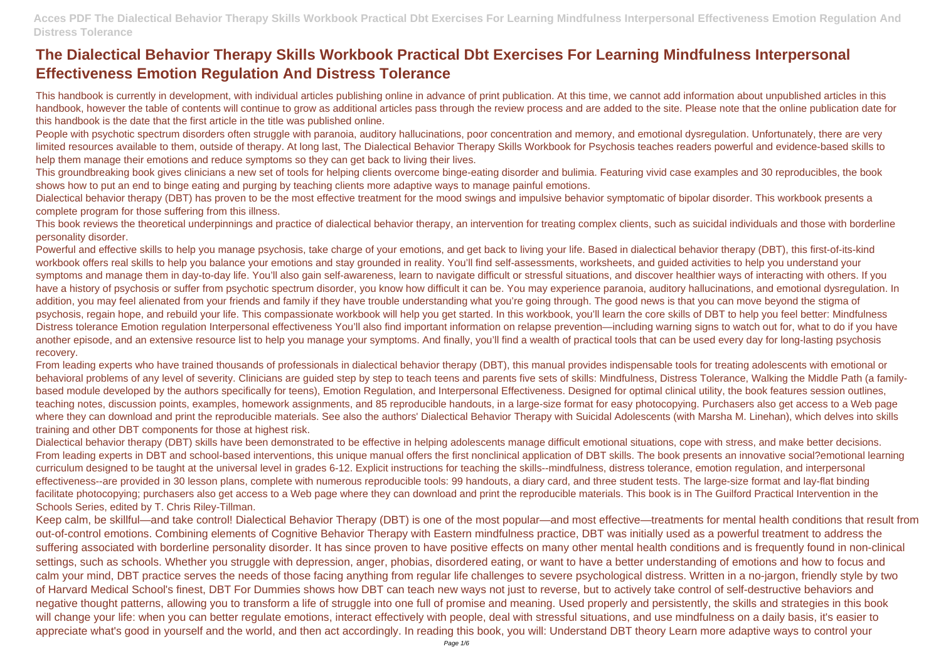## **The Dialectical Behavior Therapy Skills Workbook Practical Dbt Exercises For Learning Mindfulness Interpersonal Effectiveness Emotion Regulation And Distress Tolerance**

This handbook is currently in development, with individual articles publishing online in advance of print publication. At this time, we cannot add information about unpublished articles in this handbook, however the table of contents will continue to grow as additional articles pass through the review process and are added to the site. Please note that the online publication date for this handbook is the date that the first article in the title was published online.

People with psychotic spectrum disorders often struggle with paranoia, auditory hallucinations, poor concentration and memory, and emotional dysregulation. Unfortunately, there are very limited resources available to them, outside of therapy. At long last, The Dialectical Behavior Therapy Skills Workbook for Psychosis teaches readers powerful and evidence-based skills to help them manage their emotions and reduce symptoms so they can get back to living their lives.

Dialectical behavior therapy (DBT) has proven to be the most effective treatment for the mood swings and impulsive behavior symptomatic of bipolar disorder. This workbook presents a complete program for those suffering from this illness.

This groundbreaking book gives clinicians a new set of tools for helping clients overcome binge-eating disorder and bulimia. Featuring vivid case examples and 30 reproducibles, the book shows how to put an end to binge eating and purging by teaching clients more adaptive ways to manage painful emotions.

Powerful and effective skills to help you manage psychosis, take charge of your emotions, and get back to living your life. Based in dialectical behavior therapy (DBT), this first-of-its-kind workbook offers real skills to help you balance your emotions and stay grounded in reality. You'll find self-assessments, worksheets, and guided activities to help you understand your symptoms and manage them in day-to-day life. You'll also gain self-awareness, learn to navigate difficult or stressful situations, and discover healthier ways of interacting with others. If you have a history of psychosis or suffer from psychotic spectrum disorder, you know how difficult it can be. You may experience paranoia, auditory hallucinations, and emotional dysregulation. In addition, you may feel alienated from your friends and family if they have trouble understanding what you're going through. The good news is that you can move beyond the stigma of psychosis, regain hope, and rebuild your life. This compassionate workbook will help you get started. In this workbook, you'll learn the core skills of DBT to help you feel better: Mindfulness Distress tolerance Emotion regulation Interpersonal effectiveness You'll also find important information on relapse prevention—including warning signs to watch out for, what to do if you have another episode, and an extensive resource list to help you manage your symptoms. And finally, you'll find a wealth of practical tools that can be used every day for long-lasting psychosis recovery.

This book reviews the theoretical underpinnings and practice of dialectical behavior therapy, an intervention for treating complex clients, such as suicidal individuals and those with borderline personality disorder.

From leading experts who have trained thousands of professionals in dialectical behavior therapy (DBT), this manual provides indispensable tools for treating adolescents with emotional or behavioral problems of any level of severity. Clinicians are guided step by step to teach teens and parents five sets of skills: Mindfulness, Distress Tolerance, Walking the Middle Path (a familybased module developed by the authors specifically for teens), Emotion Regulation, and Interpersonal Effectiveness. Designed for optimal clinical utility, the book features session outlines, teaching notes, discussion points, examples, homework assignments, and 85 reproducible handouts, in a large-size format for easy photocopying. Purchasers also get access to a Web page where they can download and print the reproducible materials. See also the authors' Dialectical Behavior Therapy with Suicidal Adolescents (with Marsha M. Linehan), which delves into skills training and other DBT components for those at highest risk.

Dialectical behavior therapy (DBT) skills have been demonstrated to be effective in helping adolescents manage difficult emotional situations, cope with stress, and make better decisions. From leading experts in DBT and school-based interventions, this unique manual offers the first nonclinical application of DBT skills. The book presents an innovative social?emotional learning curriculum designed to be taught at the universal level in grades 6-12. Explicit instructions for teaching the skills--mindfulness, distress tolerance, emotion regulation, and interpersonal effectiveness--are provided in 30 lesson plans, complete with numerous reproducible tools: 99 handouts, a diary card, and three student tests. The large-size format and lay-flat binding facilitate photocopying; purchasers also get access to a Web page where they can download and print the reproducible materials. This book is in The Guilford Practical Intervention in the Schools Series, edited by T. Chris Riley-Tillman.

Keep calm, be skillful—and take control! Dialectical Behavior Therapy (DBT) is one of the most popular—and most effective—treatments for mental health conditions that result from out-of-control emotions. Combining elements of Cognitive Behavior Therapy with Eastern mindfulness practice, DBT was initially used as a powerful treatment to address the suffering associated with borderline personality disorder. It has since proven to have positive effects on many other mental health conditions and is frequently found in non-clinical settings, such as schools. Whether you struggle with depression, anger, phobias, disordered eating, or want to have a better understanding of emotions and how to focus and calm your mind, DBT practice serves the needs of those facing anything from regular life challenges to severe psychological distress. Written in a no-jargon, friendly style by two of Harvard Medical School's finest, DBT For Dummies shows how DBT can teach new ways not just to reverse, but to actively take control of self-destructive behaviors and negative thought patterns, allowing you to transform a life of struggle into one full of promise and meaning. Used properly and persistently, the skills and strategies in this book will change your life: when you can better regulate emotions, interact effectively with people, deal with stressful situations, and use mindfulness on a daily basis, it's easier to appreciate what's good in yourself and the world, and then act accordingly. In reading this book, you will: Understand DBT theory Learn more adaptive ways to control your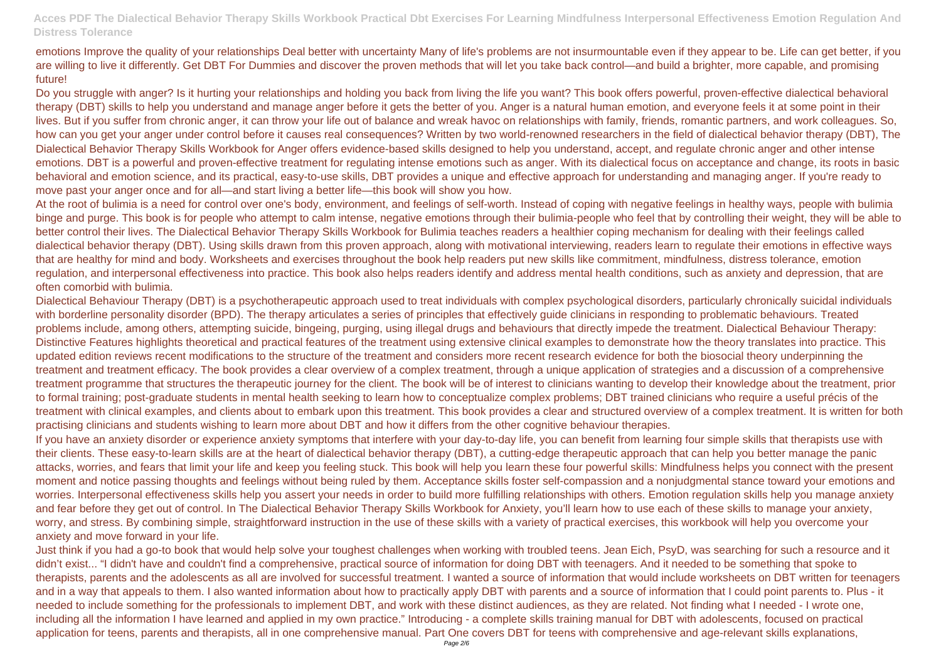emotions Improve the quality of your relationships Deal better with uncertainty Many of life's problems are not insurmountable even if they appear to be. Life can get better, if you are willing to live it differently. Get DBT For Dummies and discover the proven methods that will let you take back control—and build a brighter, more capable, and promising future!

Do you struggle with anger? Is it hurting your relationships and holding you back from living the life you want? This book offers powerful, proven-effective dialectical behavioral therapy (DBT) skills to help you understand and manage anger before it gets the better of you. Anger is a natural human emotion, and everyone feels it at some point in their lives. But if you suffer from chronic anger, it can throw your life out of balance and wreak havoc on relationships with family, friends, romantic partners, and work colleagues. So, how can you get your anger under control before it causes real consequences? Written by two world-renowned researchers in the field of dialectical behavior therapy (DBT), The Dialectical Behavior Therapy Skills Workbook for Anger offers evidence-based skills designed to help you understand, accept, and regulate chronic anger and other intense emotions. DBT is a powerful and proven-effective treatment for regulating intense emotions such as anger. With its dialectical focus on acceptance and change, its roots in basic behavioral and emotion science, and its practical, easy-to-use skills, DBT provides a unique and effective approach for understanding and managing anger. If you're ready to move past your anger once and for all—and start living a better life—this book will show you how.

At the root of bulimia is a need for control over one's body, environment, and feelings of self-worth. Instead of coping with negative feelings in healthy ways, people with bulimia binge and purge. This book is for people who attempt to calm intense, negative emotions through their bulimia-people who feel that by controlling their weight, they will be able to better control their lives. The Dialectical Behavior Therapy Skills Workbook for Bulimia teaches readers a healthier coping mechanism for dealing with their feelings called dialectical behavior therapy (DBT). Using skills drawn from this proven approach, along with motivational interviewing, readers learn to regulate their emotions in effective ways that are healthy for mind and body. Worksheets and exercises throughout the book help readers put new skills like commitment, mindfulness, distress tolerance, emotion regulation, and interpersonal effectiveness into practice. This book also helps readers identify and address mental health conditions, such as anxiety and depression, that are often comorbid with bulimia.

Dialectical Behaviour Therapy (DBT) is a psychotherapeutic approach used to treat individuals with complex psychological disorders, particularly chronically suicidal individuals with borderline personality disorder (BPD). The therapy articulates a series of principles that effectively quide clinicians in responding to problematic behaviours. Treated problems include, among others, attempting suicide, bingeing, purging, using illegal drugs and behaviours that directly impede the treatment. Dialectical Behaviour Therapy: Distinctive Features highlights theoretical and practical features of the treatment using extensive clinical examples to demonstrate how the theory translates into practice. This updated edition reviews recent modifications to the structure of the treatment and considers more recent research evidence for both the biosocial theory underpinning the treatment and treatment efficacy. The book provides a clear overview of a complex treatment, through a unique application of strategies and a discussion of a comprehensive treatment programme that structures the therapeutic journey for the client. The book will be of interest to clinicians wanting to develop their knowledge about the treatment, prior to formal training; post-graduate students in mental health seeking to learn how to conceptualize complex problems; DBT trained clinicians who require a useful précis of the treatment with clinical examples, and clients about to embark upon this treatment. This book provides a clear and structured overview of a complex treatment. It is written for both practising clinicians and students wishing to learn more about DBT and how it differs from the other cognitive behaviour therapies.

If you have an anxiety disorder or experience anxiety symptoms that interfere with your day-to-day life, you can benefit from learning four simple skills that therapists use with their clients. These easy-to-learn skills are at the heart of dialectical behavior therapy (DBT), a cutting-edge therapeutic approach that can help you better manage the panic attacks, worries, and fears that limit your life and keep you feeling stuck. This book will help you learn these four powerful skills: Mindfulness helps you connect with the present moment and notice passing thoughts and feelings without being ruled by them. Acceptance skills foster self-compassion and a nonjudgmental stance toward your emotions and worries. Interpersonal effectiveness skills help you assert your needs in order to build more fulfilling relationships with others. Emotion regulation skills help you manage anxiety and fear before they get out of control. In The Dialectical Behavior Therapy Skills Workbook for Anxiety, you'll learn how to use each of these skills to manage your anxiety, worry, and stress. By combining simple, straightforward instruction in the use of these skills with a variety of practical exercises, this workbook will help you overcome your anxiety and move forward in your life.

Just think if you had a go-to book that would help solve your toughest challenges when working with troubled teens. Jean Eich, PsyD, was searching for such a resource and it didn't exist... "I didn't have and couldn't find a comprehensive, practical source of information for doing DBT with teenagers. And it needed to be something that spoke to therapists, parents and the adolescents as all are involved for successful treatment. I wanted a source of information that would include worksheets on DBT written for teenagers and in a way that appeals to them. I also wanted information about how to practically apply DBT with parents and a source of information that I could point parents to. Plus - it needed to include something for the professionals to implement DBT, and work with these distinct audiences, as they are related. Not finding what I needed - I wrote one, including all the information I have learned and applied in my own practice." Introducing - a complete skills training manual for DBT with adolescents, focused on practical application for teens, parents and therapists, all in one comprehensive manual. Part One covers DBT for teens with comprehensive and age-relevant skills explanations,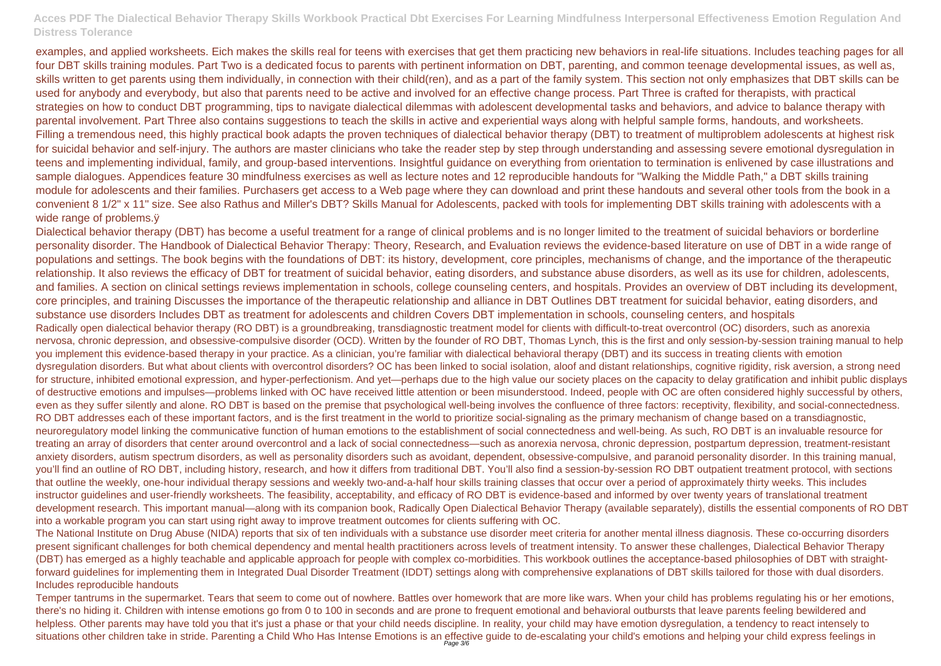examples, and applied worksheets. Eich makes the skills real for teens with exercises that get them practicing new behaviors in real-life situations. Includes teaching pages for all four DBT skills training modules. Part Two is a dedicated focus to parents with pertinent information on DBT, parenting, and common teenage developmental issues, as well as, skills written to get parents using them individually, in connection with their child(ren), and as a part of the family system. This section not only emphasizes that DBT skills can be used for anybody and everybody, but also that parents need to be active and involved for an effective change process. Part Three is crafted for therapists, with practical strategies on how to conduct DBT programming, tips to navigate dialectical dilemmas with adolescent developmental tasks and behaviors, and advice to balance therapy with parental involvement. Part Three also contains suggestions to teach the skills in active and experiential ways along with helpful sample forms, handouts, and worksheets. Filling a tremendous need, this highly practical book adapts the proven techniques of dialectical behavior therapy (DBT) to treatment of multiproblem adolescents at highest risk for suicidal behavior and self-injury. The authors are master clinicians who take the reader step by step through understanding and assessing severe emotional dysregulation in teens and implementing individual, family, and group-based interventions. Insightful guidance on everything from orientation to termination is enlivened by case illustrations and sample dialogues. Appendices feature 30 mindfulness exercises as well as lecture notes and 12 reproducible handouts for "Walking the Middle Path," a DBT skills training module for adolescents and their families. Purchasers get access to a Web page where they can download and print these handouts and several other tools from the book in a convenient 8 1/2" x 11" size. See also Rathus and Miller's DBT? Skills Manual for Adolescents, packed with tools for implementing DBT skills training with adolescents with a wide range of problems. $\ddot{y}$ 

Temper tantrums in the supermarket. Tears that seem to come out of nowhere. Battles over homework that are more like wars. When your child has problems regulating his or her emotions, there's no hiding it. Children with intense emotions go from 0 to 100 in seconds and are prone to frequent emotional and behavioral outbursts that leave parents feeling bewildered and helpless. Other parents may have told you that it's just a phase or that your child needs discipline. In reality, your child may have emotion dysregulation, a tendency to react intensely to situations other children take in stride. Parenting a Child Who Has Intense Emotions is an effective guide to de-escalating your child's emotions and helping your child express feelings in

Dialectical behavior therapy (DBT) has become a useful treatment for a range of clinical problems and is no longer limited to the treatment of suicidal behaviors or borderline personality disorder. The Handbook of Dialectical Behavior Therapy: Theory, Research, and Evaluation reviews the evidence-based literature on use of DBT in a wide range of populations and settings. The book begins with the foundations of DBT: its history, development, core principles, mechanisms of change, and the importance of the therapeutic relationship. It also reviews the efficacy of DBT for treatment of suicidal behavior, eating disorders, and substance abuse disorders, as well as its use for children, adolescents, and families. A section on clinical settings reviews implementation in schools, college counseling centers, and hospitals. Provides an overview of DBT including its development, core principles, and training Discusses the importance of the therapeutic relationship and alliance in DBT Outlines DBT treatment for suicidal behavior, eating disorders, and substance use disorders Includes DBT as treatment for adolescents and children Covers DBT implementation in schools, counseling centers, and hospitals Radically open dialectical behavior therapy (RO DBT) is a groundbreaking, transdiagnostic treatment model for clients with difficult-to-treat overcontrol (OC) disorders, such as anorexia nervosa, chronic depression, and obsessive-compulsive disorder (OCD). Written by the founder of RO DBT, Thomas Lynch, this is the first and only session-by-session training manual to help you implement this evidence-based therapy in your practice. As a clinician, you're familiar with dialectical behavioral therapy (DBT) and its success in treating clients with emotion dysregulation disorders. But what about clients with overcontrol disorders? OC has been linked to social isolation, aloof and distant relationships, cognitive rigidity, risk aversion, a strong need for structure, inhibited emotional expression, and hyper-perfectionism. And yet—perhaps due to the high value our society places on the capacity to delay gratification and inhibit public displays of destructive emotions and impulses—problems linked with OC have received little attention or been misunderstood. Indeed, people with OC are often considered highly successful by others, even as they suffer silently and alone. RO DBT is based on the premise that psychological well-being involves the confluence of three factors: receptivity, flexibility, and social-connectedness. RO DBT addresses each of these important factors, and is the first treatment in the world to prioritize social-signaling as the primary mechanism of change based on a transdiagnostic, neuroregulatory model linking the communicative function of human emotions to the establishment of social connectedness and well-being. As such, RO DBT is an invaluable resource for treating an array of disorders that center around overcontrol and a lack of social connectedness—such as anorexia nervosa, chronic depression, postpartum depression, treatment-resistant anxiety disorders, autism spectrum disorders, as well as personality disorders such as avoidant, dependent, obsessive-compulsive, and paranoid personality disorder. In this training manual, you'll find an outline of RO DBT, including history, research, and how it differs from traditional DBT. You'll also find a session-by-session RO DBT outpatient treatment protocol, with sections that outline the weekly, one-hour individual therapy sessions and weekly two-and-a-half hour skills training classes that occur over a period of approximately thirty weeks. This includes instructor guidelines and user-friendly worksheets. The feasibility, acceptability, and efficacy of RO DBT is evidence-based and informed by over twenty years of translational treatment development research. This important manual—along with its companion book, Radically Open Dialectical Behavior Therapy (available separately), distills the essential components of RO DBT into a workable program you can start using right away to improve treatment outcomes for clients suffering with OC.

The National Institute on Drug Abuse (NIDA) reports that six of ten individuals with a substance use disorder meet criteria for another mental illness diagnosis. These co-occurring disorders present significant challenges for both chemical dependency and mental health practitioners across levels of treatment intensity. To answer these challenges, Dialectical Behavior Therapy (DBT) has emerged as a highly teachable and applicable approach for people with complex co-morbidities. This workbook outlines the acceptance-based philosophies of DBT with straightforward guidelines for implementing them in Integrated Dual Disorder Treatment (IDDT) settings along with comprehensive explanations of DBT skills tailored for those with dual disorders. Includes reproducible handouts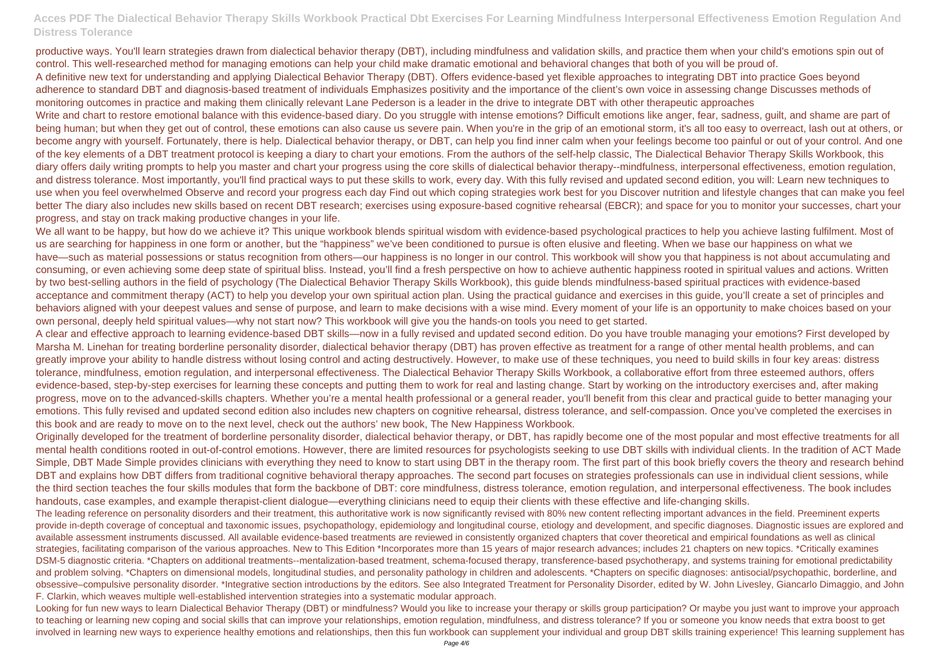productive ways. You'll learn strategies drawn from dialectical behavior therapy (DBT), including mindfulness and validation skills, and practice them when your child's emotions spin out of control. This well-researched method for managing emotions can help your child make dramatic emotional and behavioral changes that both of you will be proud of. A definitive new text for understanding and applying Dialectical Behavior Therapy (DBT). Offers evidence-based yet flexible approaches to integrating DBT into practice Goes beyond adherence to standard DBT and diagnosis-based treatment of individuals Emphasizes positivity and the importance of the client's own voice in assessing change Discusses methods of monitoring outcomes in practice and making them clinically relevant Lane Pederson is a leader in the drive to integrate DBT with other therapeutic approaches Write and chart to restore emotional balance with this evidence-based diary. Do you struggle with intense emotions? Difficult emotions like anger, fear, sadness, guilt, and shame are part of being human; but when they get out of control, these emotions can also cause us severe pain. When you're in the grip of an emotional storm, it's all too easy to overreact, lash out at others, or become angry with yourself. Fortunately, there is help. Dialectical behavior therapy, or DBT, can help you find inner calm when your feelings become too painful or out of your control. And one of the key elements of a DBT treatment protocol is keeping a diary to chart your emotions. From the authors of the self-help classic, The Dialectical Behavior Therapy Skills Workbook, this diary offers daily writing prompts to help you master and chart your progress using the core skills of dialectical behavior therapy--mindfulness, interpersonal effectiveness, emotion regulation, and distress tolerance. Most importantly, you'll find practical ways to put these skills to work, every day. With this fully revised and updated second edition, you will: Learn new techniques to use when you feel overwhelmed Observe and record your progress each day Find out which coping strategies work best for you Discover nutrition and lifestyle changes that can make you feel better The diary also includes new skills based on recent DBT research; exercises using exposure-based cognitive rehearsal (EBCR); and space for you to monitor your successes, chart your progress, and stay on track making productive changes in your life.

We all want to be happy, but how do we achieve it? This unique workbook blends spiritual wisdom with evidence-based psychological practices to help you achieve lasting fulfilment. Most of us are searching for happiness in one form or another, but the "happiness" we've been conditioned to pursue is often elusive and fleeting. When we base our happiness on what we have—such as material possessions or status recognition from others—our happiness is no longer in our control. This workbook will show you that happiness is not about accumulating and consuming, or even achieving some deep state of spiritual bliss. Instead, you'll find a fresh perspective on how to achieve authentic happiness rooted in spiritual values and actions. Written by two best-selling authors in the field of psychology (The Dialectical Behavior Therapy Skills Workbook), this guide blends mindfulness-based spiritual practices with evidence-based acceptance and commitment therapy (ACT) to help you develop your own spiritual action plan. Using the practical guidance and exercises in this guide, you'll create a set of principles and behaviors aligned with your deepest values and sense of purpose, and learn to make decisions with a wise mind. Every moment of your life is an opportunity to make choices based on your own personal, deeply held spiritual values—why not start now? This workbook will give you the hands-on tools you need to get started.

Looking for fun new ways to learn Dialectical Behavior Therapy (DBT) or mindfulness? Would you like to increase your therapy or skills group participation? Or maybe you just want to improve your approach to teaching or learning new coping and social skills that can improve your relationships, emotion regulation, mindfulness, and distress tolerance? If you or someone you know needs that extra boost to get involved in learning new ways to experience healthy emotions and relationships, then this fun workbook can supplement your individual and group DBT skills training experience! This learning supplement has

A clear and effective approach to learning evidence-based DBT skills—now in a fully revised and updated second edition. Do you have trouble managing your emotions? First developed by Marsha M. Linehan for treating borderline personality disorder, dialectical behavior therapy (DBT) has proven effective as treatment for a range of other mental health problems, and can greatly improve your ability to handle distress without losing control and acting destructively. However, to make use of these techniques, you need to build skills in four key areas: distress tolerance, mindfulness, emotion regulation, and interpersonal effectiveness. The Dialectical Behavior Therapy Skills Workbook, a collaborative effort from three esteemed authors, offers evidence-based, step-by-step exercises for learning these concepts and putting them to work for real and lasting change. Start by working on the introductory exercises and, after making progress, move on to the advanced-skills chapters. Whether you're a mental health professional or a general reader, you'll benefit from this clear and practical guide to better managing your emotions. This fully revised and updated second edition also includes new chapters on cognitive rehearsal, distress tolerance, and self-compassion. Once you've completed the exercises in this book and are ready to move on to the next level, check out the authors' new book, The New Happiness Workbook.

Originally developed for the treatment of borderline personality disorder, dialectical behavior therapy, or DBT, has rapidly become one of the most popular and most effective treatments for all mental health conditions rooted in out-of-control emotions. However, there are limited resources for psychologists seeking to use DBT skills with individual clients. In the tradition of ACT Made Simple, DBT Made Simple provides clinicians with everything they need to know to start using DBT in the therapy room. The first part of this book briefly covers the theory and research behind DBT and explains how DBT differs from traditional cognitive behavioral therapy approaches. The second part focuses on strategies professionals can use in individual client sessions, while the third section teaches the four skills modules that form the backbone of DBT: core mindfulness, distress tolerance, emotion regulation, and interpersonal effectiveness. The book includes handouts, case examples, and example therapist-client dialogue—everything clinicians need to equip their clients with these effective and life-changing skills. The leading reference on personality disorders and their treatment, this authoritative work is now significantly revised with 80% new content reflecting important advances in the field. Preeminent experts provide in-depth coverage of conceptual and taxonomic issues, psychopathology, epidemiology and longitudinal course, etiology and development, and specific diagnoses. Diagnostic issues are explored and available assessment instruments discussed. All available evidence-based treatments are reviewed in consistently organized chapters that cover theoretical and empirical foundations as well as clinical strategies, facilitating comparison of the various approaches. New to This Edition \*Incorporates more than 15 years of major research advances; includes 21 chapters on new topics. \*Critically examines DSM-5 diagnostic criteria. \*Chapters on additional treatments--mentalization-based treatment, schema-focused therapy, transference-based psychotherapy, and systems training for emotional predictability and problem solving. \*Chapters on dimensional models, longitudinal studies, and personality pathology in children and adolescents. \*Chapters on specific diagnoses: antisocial/psychopathic, borderline, and obsessive–compulsive personality disorder. \*Integrative section introductions by the editors. See also Integrated Treatment for Personality Disorder, edited by W. John Livesley, Giancarlo Dimaggio, and John F. Clarkin, which weaves multiple well-established intervention strategies into a systematic modular approach.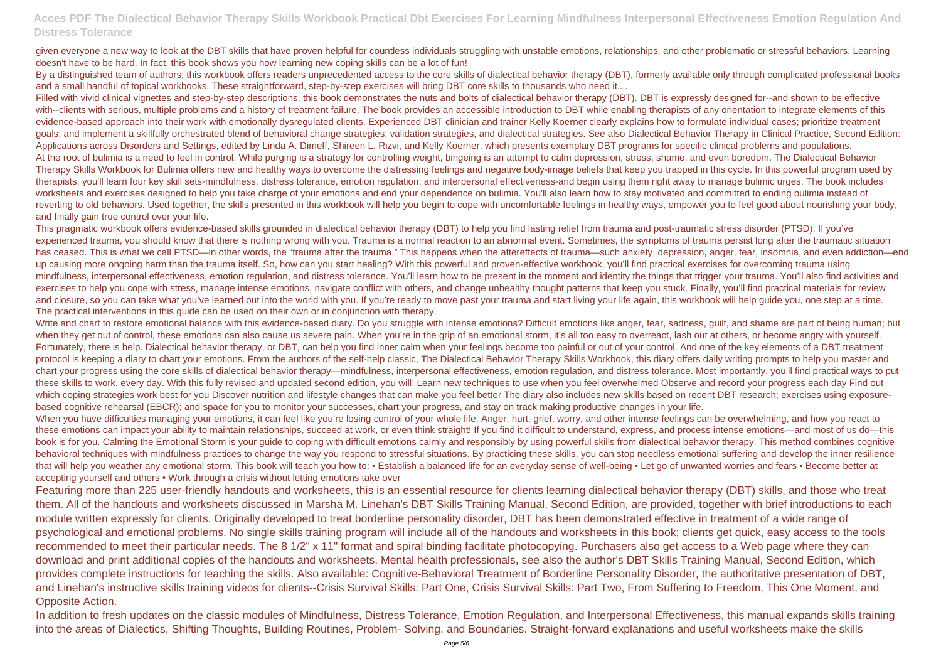given everyone a new way to look at the DBT skills that have proven helpful for countless individuals struggling with unstable emotions, relationships, and other problematic or stressful behaviors. Learning doesn't have to be hard. In fact, this book shows you how learning new coping skills can be a lot of fun!

By a distinguished team of authors, this workbook offers readers unprecedented access to the core skills of dialectical behavior therapy (DBT), formerly available only through complicated professional books and a small handful of topical workbooks. These straightforward, step-by-step exercises will bring DBT core skills to thousands who need it....

Filled with vivid clinical vignettes and step-by-step descriptions, this book demonstrates the nuts and bolts of dialectical behavior therapy (DBT). DBT is expressly designed for--and shown to be effective with--clients with serious, multiple problems and a history of treatment failure. The book provides an accessible introduction to DBT while enabling therapists of any orientation to integrate elements of this evidence-based approach into their work with emotionally dysregulated clients. Experienced DBT clinician and trainer Kelly Koerner clearly explains how to formulate individual cases; prioritize treatment goals; and implement a skillfully orchestrated blend of behavioral change strategies, validation strategies, and dialectical strategies. See also Dialectical Behavior Therapy in Clinical Practice, Second Edition: Applications across Disorders and Settings, edited by Linda A. Dimeff, Shireen L. Rizvi, and Kelly Koerner, which presents exemplary DBT programs for specific clinical problems and populations. At the root of bulimia is a need to feel in control. While purging is a strategy for controlling weight, bingeing is an attempt to calm depression, stress, shame, and even boredom. The Dialectical Behavior Therapy Skills Workbook for Bulimia offers new and healthy ways to overcome the distressing feelings and negative body-image beliefs that keep you trapped in this cycle. In this powerful program used by therapists, you'll learn four key skill sets-mindfulness, distress tolerance, emotion regulation, and interpersonal effectiveness-and begin using them right away to manage bulimic urges. The book includes worksheets and exercises designed to help you take charge of your emotions and end your dependence on bulimia. You'll also learn how to stay motivated and committed to ending bulimia instead of reverting to old behaviors. Used together, the skills presented in this workbook will help you begin to cope with uncomfortable feelings in healthy ways, empower you to feel good about nourishing your body, and finally gain true control over your life.

Write and chart to restore emotional balance with this evidence-based diary. Do you struggle with intense emotions? Difficult emotions like anger, fear, sadness, guilt, and shame are part of being human; but when they get out of control, these emotions can also cause us severe pain. When you're in the grip of an emotional storm, it's all too easy to overreact, lash out at others, or become angry with yourself. Fortunately, there is help. Dialectical behavior therapy, or DBT, can help you find inner calm when your feelings become too painful or out of your control. And one of the key elements of a DBT treatment protocol is keeping a diary to chart your emotions. From the authors of the self-help classic, The Dialectical Behavior Therapy Skills Workbook, this diary offers daily writing prompts to help you master and chart your progress using the core skills of dialectical behavior therapy—mindfulness, interpersonal effectiveness, emotion regulation, and distress tolerance. Most importantly, you'll find practical ways to put these skills to work, every day. With this fully revised and updated second edition, you will: Learn new techniques to use when you feel overwhelmed Observe and record your progress each day Find out which coping strategies work best for you Discover nutrition and lifestyle changes that can make you feel better The diary also includes new skills based on recent DBT research; exercises using exposurebased cognitive rehearsal (EBCR); and space for you to monitor your successes, chart your progress, and stay on track making productive changes in your life. When you have difficulties managing your emotions, it can feel like you're losing control of your whole life. Anger, hurt, grief, worry, and other intense feelings can be overwhelming, and how you react to these emotions can impact your ability to maintain relationships, succeed at work, or even think straight! If you find it difficult to understand, express, and process intense emotions—and most of us do—this book is for you. Calming the Emotional Storm is your guide to coping with difficult emotions calmly and responsibly by using powerful skills from dialectical behavior therapy. This method combines cognitive behavioral techniques with mindfulness practices to change the way you respond to stressful situations. By practicing these skills, you can stop needless emotional suffering and develop the inner resilience that will help you weather any emotional storm. This book will teach you how to: • Establish a balanced life for an everyday sense of well-being • Let go of unwanted worries and fears • Become better at accepting yourself and others • Work through a crisis without letting emotions take over

This pragmatic workbook offers evidence-based skills grounded in dialectical behavior therapy (DBT) to help you find lasting relief from trauma and post-traumatic stress disorder (PTSD). If you've experienced trauma, you should know that there is nothing wrong with you. Trauma is a normal reaction to an abnormal event. Sometimes, the symptoms of trauma persist long after the traumatic situation has ceased. This is what we call PTSD—in other words, the "trauma after the trauma." This happens when the aftereffects of trauma—such anxiety, depression, anger, fear, insomnia, and even addiction—end up causing more ongoing harm than the trauma itself. So, how can you start healing? With this powerful and proven-effective workbook, you'll find practical exercises for overcoming trauma using mindfulness, interpersonal effectiveness, emotion regulation, and distress tolerance. You'll learn how to be present in the moment and identity the things that trigger your trauma. You'll also find activities and exercises to help you cope with stress, manage intense emotions, navigate conflict with others, and change unhealthy thought patterns that keep you stuck. Finally, you'll find practical materials for review and closure, so you can take what you've learned out into the world with you. If you're ready to move past your trauma and start living your life again, this workbook will help guide you, one step at a time. The practical interventions in this guide can be used on their own or in conjunction with therapy.

Featuring more than 225 user-friendly handouts and worksheets, this is an essential resource for clients learning dialectical behavior therapy (DBT) skills, and those who treat them. All of the handouts and worksheets discussed in Marsha M. Linehan's DBT Skills Training Manual, Second Edition, are provided, together with brief introductions to each module written expressly for clients. Originally developed to treat borderline personality disorder, DBT has been demonstrated effective in treatment of a wide range of psychological and emotional problems. No single skills training program will include all of the handouts and worksheets in this book; clients get quick, easy access to the tools recommended to meet their particular needs. The 8 1/2" x 11" format and spiral binding facilitate photocopying. Purchasers also get access to a Web page where they can download and print additional copies of the handouts and worksheets. Mental health professionals, see also the author's DBT Skills Training Manual, Second Edition, which provides complete instructions for teaching the skills. Also available: Cognitive-Behavioral Treatment of Borderline Personality Disorder, the authoritative presentation of DBT, and Linehan's instructive skills training videos for clients--Crisis Survival Skills: Part One, Crisis Survival Skills: Part Two, From Suffering to Freedom, This One Moment, and Opposite Action.

In addition to fresh updates on the classic modules of Mindfulness, Distress Tolerance, Emotion Regulation, and Interpersonal Effectiveness, this manual expands skills training into the areas of Dialectics, Shifting Thoughts, Building Routines, Problem- Solving, and Boundaries. Straight-forward explanations and useful worksheets make the skills